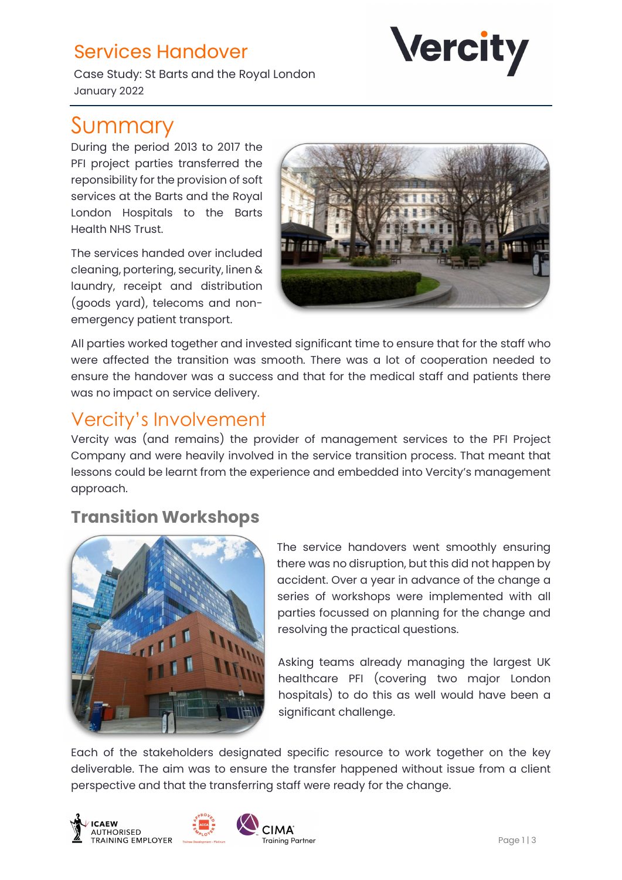# Services Handover

Case Study: St Barts and the Royal London January 2022

# Summary

During the period 2013 to 2017 the PFI project parties transferred the reponsibility for the provision of soft services at the Barts and the Royal London Hospitals to the Barts Health NHS Trust.

The services handed over included cleaning, portering, security, linen & laundry, receipt and distribution (goods yard), telecoms and nonemergency patient transport.



**Vercity** 

All parties worked together and invested significant time to ensure that for the staff who were affected the transition was smooth. There was a lot of cooperation needed to ensure the handover was a success and that for the medical staff and patients there was no impact on service delivery.

## Vercity's Involvement

Vercity was (and remains) the provider of management services to the PFI Project Company and were heavily involved in the service transition process. That meant that lessons could be learnt from the experience and embedded into Vercity's management approach.

### Transition Workshops



The service handovers went smoothly ensuring there was no disruption, but this did not happen by accident. Over a year in advance of the change a series of workshops were implemented with all parties focussed on planning for the change and resolving the practical questions.

Asking teams already managing the largest UK healthcare PFI (covering two major London hospitals) to do this as well would have been a significant challenge.

Each of the stakeholders designated specific resource to work together on the key deliverable. The aim was to ensure the transfer happened without issue from a client perspective and that the transferring staff were ready for the change.





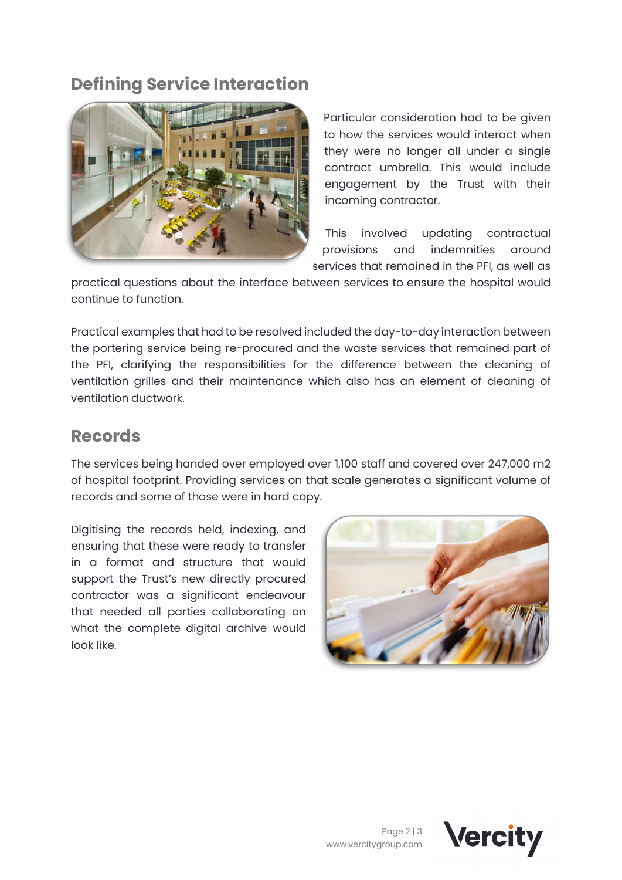### Defining Service Interaction



Particular consideration had to be given to how the services would interact when they were no longer all under a single contract umbrella. This would include engagement by the Trust with their incoming contractor.

This involved updating contractual provisions and indemnities around services that remained in the PFI, as well as

practical questions about the interface between services to ensure the hospital would continue to function.

Practical examples that had to be resolved included the day-to-day interaction between the portering service being re-procured and the waste services that remained part of the PFI, clarifying the responsibilities for the difference between the cleaning of ventilation grilles and their maintenance which also has an element of cleaning of ventilation ductwork.

#### Records

The services being handed over employed over 1,100 staff and covered over 247,000 m2 of hospital footprint. Providing services on that scale generates a significant volume of records and some of those were in hard copy.

Digitising the records held, indexing, and ensuring that these were ready to transfer in a format and structure that would support the Trust's new directly procured contractor was a significant endeavour that needed all parties collaborating on what the complete digital archive would look like.